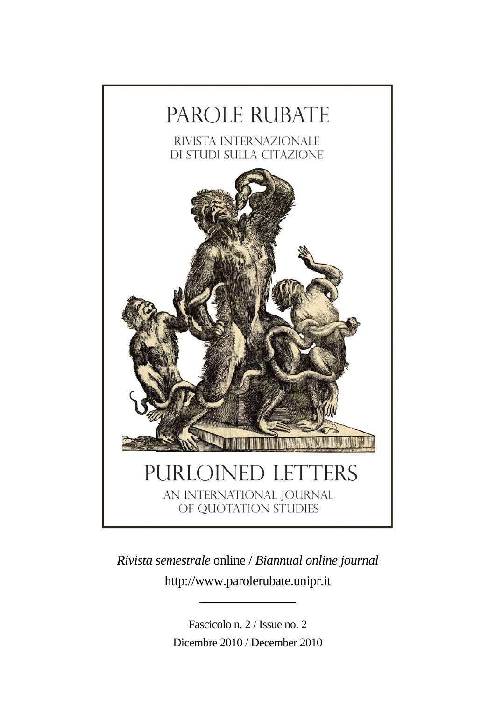

*Rivista semestrale* online / *Biannual online journal*  http://www.parolerubate.unipr.it

> Fascicolo n. 2 / Issue no. 2 Dicembre 2010 / December 2010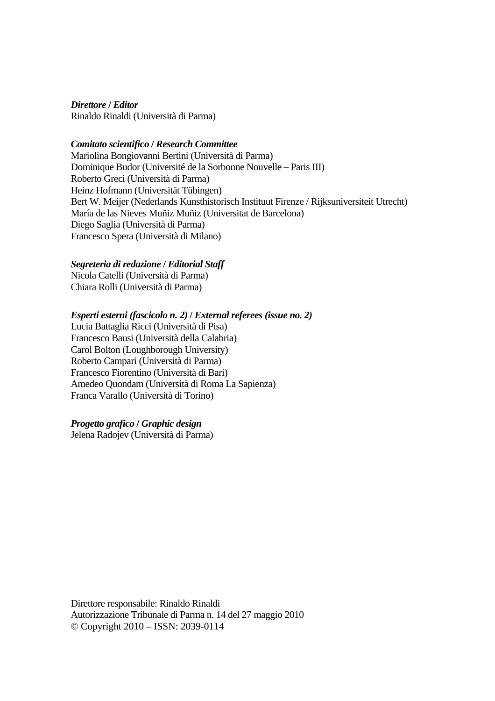*Direttore* **/** *Editor* Rinaldo Rinaldi (Università di Parma)

#### *Comitato scientifico* **/** *Research Committee*

Mariolina Bongiovanni Bertini (Università di Parma) Dominique Budor (Université de la Sorbonne Nouvelle **–** Paris III) Roberto Greci (Università di Parma) Heinz Hofmann (Universität Tübingen) Bert W. Meijer (Nederlands Kunsthistorisch Instituut Firenze / Rijksuniversiteit Utrecht) María de las Nieves Muñiz Muñiz (Universitat de Barcelona) Diego Saglia (Università di Parma) Francesco Spera (Università di Milano)

#### *Segreteria di redazione* **/** *Editorial Staff*

Nicola Catelli (Università di Parma) Chiara Rolli (Università di Parma)

#### *Esperti esterni (fascicolo n. 2)* **/** *External referees (issue no. 2)*

Lucia Battaglia Ricci (Università di Pisa) Francesco Bausi (Università della Calabria) Carol Bolton (Loughborough University) Roberto Campari (Università di Parma) Francesco Fiorentino (Università di Bari) Amedeo Quondam (Università di Roma La Sapienza) Franca Varallo (Università di Torino)

#### *Progetto grafico* **/** *Graphic design*

Jelena Radojev (Università di Parma)

Direttore responsabile: Rinaldo Rinaldi Autorizzazione Tribunale di Parma n. 14 del 27 maggio 2010 © Copyright 2010 – ISSN: 2039-0114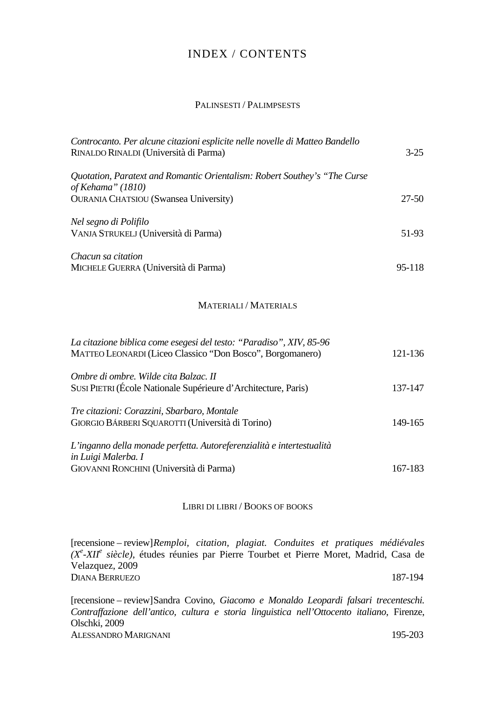### INDEX / CONTENTS

#### PALINSESTI / PALIMPSESTS

| Controcanto. Per alcune citazioni esplicite nelle novelle di Matteo Bandello<br>RINALDO RINALDI (Università di Parma) | $3 - 25$ |
|-----------------------------------------------------------------------------------------------------------------------|----------|
| Quotation, Paratext and Romantic Orientalism: Robert Southey's "The Curse"<br>of Kehama" (1810)                       |          |
| <b>OURANIA CHATSIOU</b> (Swansea University)                                                                          | 27-50    |
| Nel segno di Polifilo                                                                                                 |          |
| VANJA STRUKELJ (Università di Parma)                                                                                  | 51-93    |
| Chacun sa citation                                                                                                    |          |
| MICHELE GUERRA (Università di Parma)                                                                                  | 95-118   |

#### MATERIALI / MATERIALS

| La citazione biblica come esegesi del testo: "Paradiso", XIV, 85-96<br>MATTEO LEONARDI (Liceo Classico "Don Bosco", Borgomanero)        | 121-136 |
|-----------------------------------------------------------------------------------------------------------------------------------------|---------|
| Ombre di ombre. Wilde cita Balzac. II<br>SUSI PIETRI (École Nationale Supérieure d'Architecture, Paris)                                 | 137-147 |
| Tre citazioni: Corazzini, Sbarbaro, Montale<br>GIORGIO BÁRBERI SQUAROTTI (Università di Torino)                                         | 149-165 |
| L'inganno della monade perfetta. Autoreferenzialità e intertestualità<br>in Luigi Malerba. I<br>GIOVANNI RONCHINI (Università di Parma) | 167-183 |

#### LIBRI DI LIBRI / BOOKS OF BOOKS

[recensione – review] *Remploi, citation, plagiat. Conduites et pratiques médiévales (Xe -XII<sup>e</sup> siècle)*, études réunies par Pierre Tourbet et Pierre Moret, Madrid, Casa de Velazquez, 2009 DIANA BERRUEZO 187-194

[recensione – review] Sandra Covino, *Giacomo e Monaldo Leopardi falsari trecenteschi. Contraffazione dell'antico, cultura e storia linguistica nell'Ottocento italiano*, Firenze, Olschki, 2009 ALESSANDRO MARIGNANI 195-203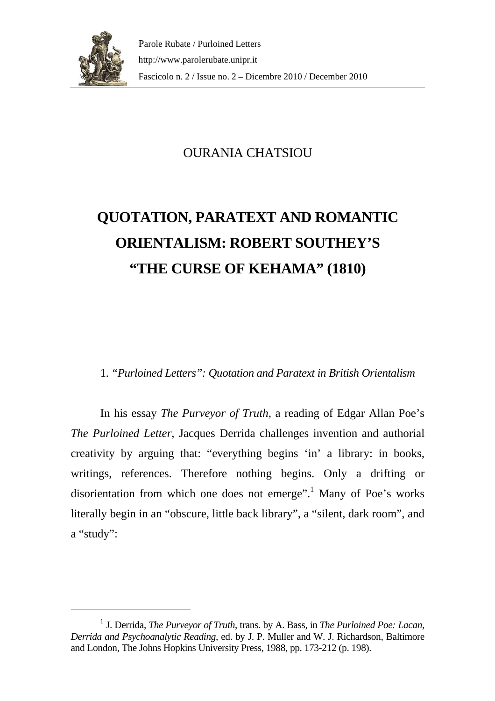

# OURANIA CHATSIOU

# **QUOTATION, PARATEXT AND ROMANTIC ORIENTALISM: ROBERT SOUTHEY'S "THE CURSE OF KEHAMA" (1810)**

## 1. *"Purloined Letters": Quotation and Paratext in British Orientalism*

In his essay *The Purveyor of Truth*, a reading of Edgar Allan Poe's *The Purloined Letter*, Jacques Derrida challenges invention and authorial creativity by arguing that: "everything begins 'in' a library: in books, writings, references. Therefore nothing begins. Only a drifting or disorientation from which one does not emerge".<sup>[1](#page-4-0)</sup> Many of Poe's works literally begin in an "obscure, little back library", a "silent, dark room", and a "study":

<span id="page-4-0"></span><sup>1</sup> J. Derrida, *The Purveyor of Truth*, trans. by A. Bass, in *The Purloined Poe: Lacan, Derrida and Psychoanalytic Reading*, ed. by J. P. Muller and W. J. Richardson, Baltimore and London, The Johns Hopkins University Press, 1988, pp. 173-212 (p. 198).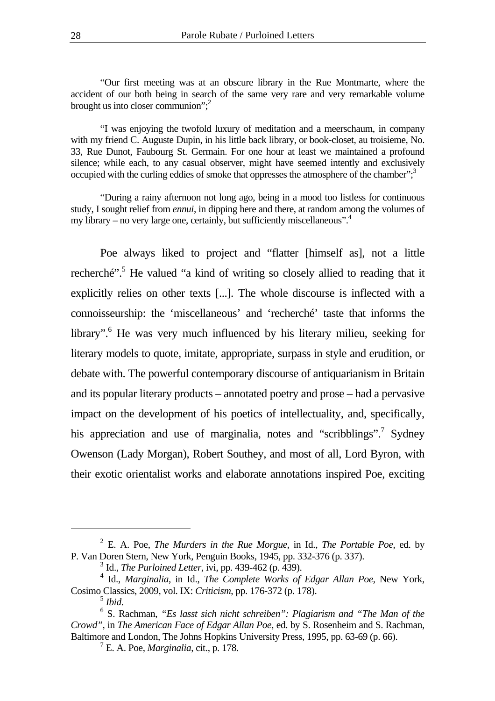"Our first meeting was at an obscure library in the Rue Montmarte, where the accident of our both being in search of the same very rare and very remarkable volume brought us into closer communion": $2<sup>2</sup>$ 

"I was enjoying the twofold luxury of meditation and a meerschaum, in company with my friend C. Auguste Dupin, in his little back library, or book-closet, au troisieme, No. 33, Rue Dunot, Faubourg St. Germain. For one hour at least we maintained a profound silence; while each, to any casual observer, might have seemed intently and exclusively occupied with the curling eddies of smoke that oppresses the atmosphere of the chamber"; $3$ 

"During a rainy afternoon not long ago, being in a mood too listless for continuous study, I sought relief from *ennui*, in dipping here and there, at random among the volumes of my library – no very large one, certainly, but sufficiently miscellaneous".

Poe always liked to project and "flatter [himself as], not a little recherché".<sup>5</sup> He valued "a kind of writing so closely allied to reading that it explicitly relies on other texts [...]. The whole discourse is inflected with a connoisseurship: the 'miscellaneous' and 'recherché' taste that informs the library".<sup>6</sup> He was very much influenced by his literary milieu, seeking for literary models to quote, imitate, appropriate, surpass in style and erudition, or debate with. The powerful contemporary discourse of antiquarianism in Britain and its popular literary products – annotated poetry and prose – had a pervasive impact on the development of his poetics of intellectuality, and, specifically, his appreciation and use of marginalia, notes and "scribblings".<sup>7</sup> Sydney Owenson (Lady Morgan), Robert Southey, and most of all, Lord Byron, with their exotic orientalist works and elaborate annotations inspired Poe, exciting

<sup>2</sup> E. A. Poe, *The Murders in the Rue Morgue*, in Id., *The Portable Poe*, ed. by P. Van Doren Stern, New York, Penguin Books, 1945, pp. 332-376 (p. 337).

<span id="page-5-2"></span><span id="page-5-1"></span><span id="page-5-0"></span><sup>3</sup> Id., *The Purloined Letter*, ivi, pp. 439-462 (p. 439).

<sup>4</sup> Id., *Marginalia*, in Id., *The Complete Works of Edgar Allan Poe*, New York, Cosimo Classics, 2009, vol. IX: *Criticism*, pp. 176-372 (p. 178).

<span id="page-5-4"></span><span id="page-5-3"></span>

<sup>&</sup>lt;sup>5</sup> *Ibid.*<br><sup>6</sup> S. Rachman, *"Es lasst sich nicht schreiben": Plagiarism and "The Man of the Crowd"*, in *The American Face of Edgar Allan Poe*, ed. by S. Rosenheim and S. Rachman, Baltimore and London, The Johns Hopkins University Press, 1995, pp. 63-69 (p. 66).

<span id="page-5-5"></span><sup>7</sup> E. A. Poe, *Marginalia*, cit., p. 178.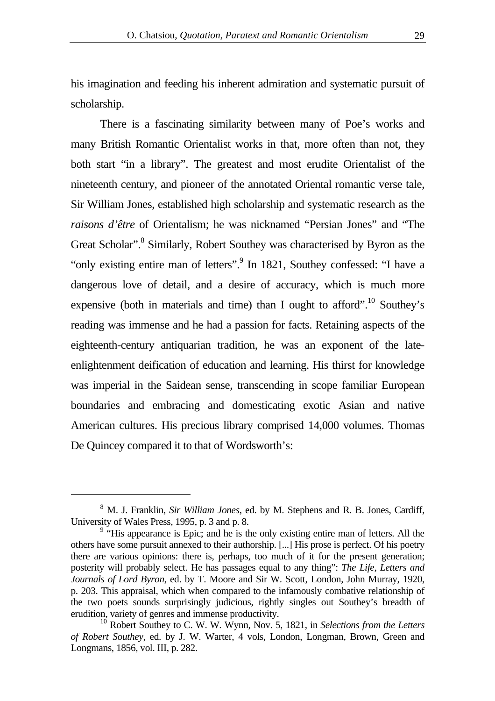his imagination and feeding his inherent admiration and systematic pursuit of scholarship.

There is a fascinating similarity between many of Poe's works and many British Romantic Orientalist works in that, more often than not, they both start "in a library". The greatest and most erudite Orientalist of the nineteenth century, and pioneer of the annotated Oriental romantic verse tale, Sir William Jones, established high scholarship and systematic research as the *raisons d'être* of Orientalism; he was nicknamed "Persian Jones" and "The Great Scholar".<sup>8</sup> Similarly, Robert Southey was characterised by Byron as the "only existing entire man of letters".<sup>9</sup> In 1821, Southey confessed: "I have a dangerous love of detail, and a desire of accuracy, which is much more expensive (both in materials and time) than I ought to afford".<sup>10</sup> Southey's reading was immense and he had a passion for facts. Retaining aspects of the eighteenth-century antiquarian tradition, he was an exponent of the lateenlightenment deification of education and learning. His thirst for knowledge was imperial in the Saidean sense, transcending in scope familiar European boundaries and embracing and domesticating exotic Asian and native American cultures. His precious library comprised 14,000 volumes. Thomas De Quincey compared it to that of Wordsworth's:

<span id="page-6-0"></span><sup>8</sup> M. J. Franklin, *Sir William Jones*, ed. by M. Stephens and R. B. Jones, Cardiff, University of Wales Press, 1995, p. 3 and p. 8.

<span id="page-6-1"></span><sup>&</sup>lt;sup>9</sup> "His appearance is Epic; and he is the only existing entire man of letters. All the others have some pursuit annexed to their authorship. [...] His prose is perfect. Of his poetry there are various opinions: there is, perhaps, too much of it for the present generation; posterity will probably select. He has passages equal to any thing": *The Life, Letters and Journals of Lord Byron*, ed. by T. Moore and Sir W. Scott, London, John Murray, 1920, p. 203. This appraisal, which when compared to the infamously combative relationship of the two poets sounds surprisingly judicious, rightly singles out Southey's breadth of erudition, variety of genres and immense productivity.

<span id="page-6-2"></span><sup>10</sup> Robert Southey to C. W. W. Wynn, Nov. 5, 1821, in *Selections from the Letters of Robert Southey*, ed. by J. W. Warter, 4 vols, London, Longman, Brown, Green and Longmans, 1856, vol. III, p. 282.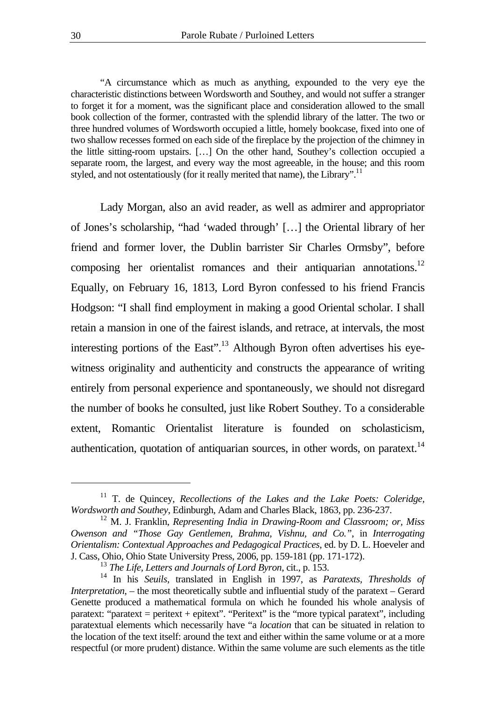"A circumstance which as much as anything, expounded to the very eye the characteristic distinctions between Wordsworth and Southey, and would not suffer a stranger to forget it for a moment, was the significant place and consideration allowed to the small book collection of the former, contrasted with the splendid library of the latter. The two or three hundred volumes of Wordsworth occupied a little, homely bookcase, fixed into one of two shallow recesses formed on each side of the fireplace by the projection of the chimney in the little sitting-room upstairs. […] On the other hand, Southey's collection occupied a separate room, the largest, and every way the most agreeable, in the house; and this room styled, and not ostentatiously (for it really merited that name), the Library".<sup>11</sup>

Lady Morgan, also an avid reader, as well as admirer and appropriator of Jones's scholarship, "had 'waded through' […] the Oriental library of her friend and former lover, the Dublin barrister Sir Charles Ormsby", before composing her orientalist romances and their antiquarian annotations.<sup>12</sup> Equally, on February 16, 1813, Lord Byron confessed to his friend Francis Hodgson: "I shall find employment in making a good Oriental scholar. I shall retain a mansion in one of the fairest islands, and retrace, at intervals, the most interesting portions of the East".<sup>13</sup> Although Byron often advertises his eyewitness originality and authenticity and constructs the appearance of writing entirely from personal experience and spontaneously, we should not disregard the number of books he consulted, just like Robert Southey. To a considerable extent, Romantic Orientalist literature is founded on scholasticism, authentication, quotation of antiquarian sources, in other words, on paratext. $14$ 

<span id="page-7-0"></span><sup>&</sup>lt;sup>11</sup> T. de Ouincey, *Recollections of the Lakes and the Lake Poets: Coleridge, Wordsworth and Southey*, Edinburgh, Adam and Charles Black, 1863, pp. 236-237.

<span id="page-7-1"></span><sup>12</sup> M. J. Franklin, *Representing India in Drawing-Room and Classroom; or, Miss Owenson and "Those Gay Gentlemen, Brahma, Vishnu, and Co."*, in *Interrogating Orientalism: Contextual Approaches and Pedagogical Practices*, ed. by D. L. Hoeveler and J. Cass, Ohio, Ohio State University Press, 2006, pp. 159-181 (pp. 171-172).

<span id="page-7-3"></span><span id="page-7-2"></span><sup>13</sup> *The Life, Letters and Journals of Lord Byron*, cit., p. 153.

<sup>14</sup> In his *Seuils*, translated in English in 1997, as *Paratexts, Thresholds of Interpretation*, – the most theoretically subtle and influential study of the paratext – Gerard Genette produced a mathematical formula on which he founded his whole analysis of paratext: "paratext = peritext + epitext". "Peritext" is the "more typical paratext", including paratextual elements which necessarily have "a *location* that can be situated in relation to the location of the text itself: around the text and either within the same volume or at a more respectful (or more prudent) distance. Within the same volume are such elements as the title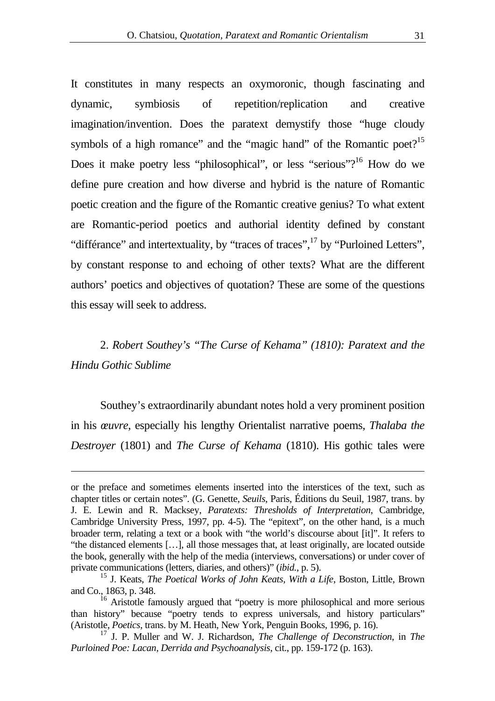It constitutes in many respects an oxymoronic, though fascinating and dynamic, symbiosis of repetition/replication and creative imagination/invention. Does the paratext demystify those "huge cloudy symbols of a high romance" and the "magic hand" of the Romantic poet?<sup>15</sup> Does it make poetry less "philosophical", or less "serious"?<sup>16</sup> How do we define pure creation and how diverse and hybrid is the nature of Romantic poetic creation and the figure of the Romantic creative genius? To what extent are Romantic-period poetics and authorial identity defined by constant "différance" and intertextuality, by "traces of traces",<sup>17</sup> by "Purloined Letters", by constant response to and echoing of other texts? What are the different authors' poetics and objectives of quotation? These are some of the questions this essay will seek to address.

## 2. *Robert Southey's "The Curse of Kehama" (1810): Paratext and the Hindu Gothic Sublime*

Southey's extraordinarily abundant notes hold a very prominent position in his *œuvre*, especially his lengthy Orientalist narrative poems, *Thalaba the Destroyer* (1801) and *The Curse of Kehama* (1810). His gothic tales were

or the preface and sometimes elements inserted into the interstices of the text, such as chapter titles or certain notes". (G. Genette, *Seuils*, Paris, Éditions du Seuil, 1987, trans. by J. E. Lewin and R. Macksey, *Paratexts: Thresholds of Interpretation*, Cambridge, Cambridge University Press, 1997, pp. 4-5). The "epitext", on the other hand, is a much broader term, relating a text or a book with "the world's discourse about [it]". It refers to "the distanced elements […], all those messages that, at least originally, are located outside the book, generally with the help of the media (interviews, conversations) or under cover of private communications (letters, diaries, and others)" (*ibid.*, p. 5).

<span id="page-8-0"></span><sup>15</sup> J. Keats, *The Poetical Works of John Keats, With a Life*, Boston, Little, Brown and Co., 1863, p. 348.

<span id="page-8-1"></span><sup>&</sup>lt;sup>16</sup> Aristotle famously argued that "poetry is more philosophical and more serious than history" because "poetry tends to express universals, and history particulars" (Aristotle, *Poetics*, trans. by M. Heath, New York, Penguin Books, 1996, p. 16).

<span id="page-8-2"></span><sup>17</sup> J. P. Muller and W. J. Richardson, *The Challenge of Deconstruction*, in *The Purloined Poe: Lacan, Derrida and Psychoanalysis*, cit., pp. 159-172 (p. 163).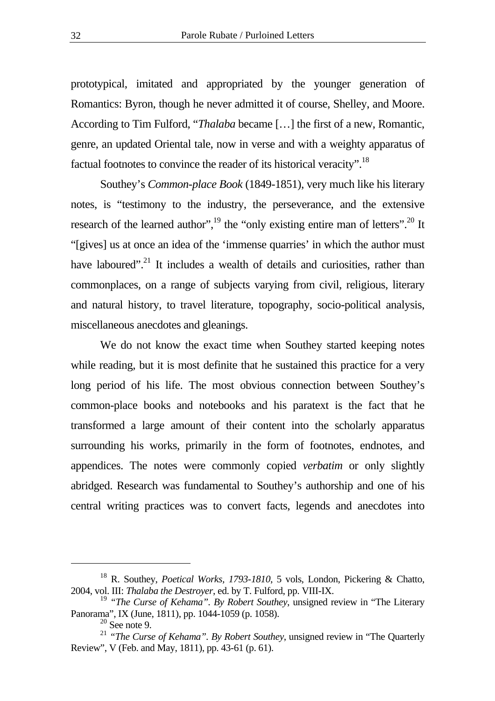prototypical, imitated and appropriated by the younger generation of Romantics: Byron, though he never admitted it of course, Shelley, and Moore. According to Tim Fulford, "*Thalaba* became […] the first of a new, Romantic, genre, an updated Oriental tale, now in verse and with a weighty apparatus of factual footnotes to convince the reader of its historical veracity"[.18](#page-9-0)

Southey's *Common-place Book* (1849-1851), very much like his literary notes, is "testimony to the industry, the perseverance, and the extensive research of the learned author", $^{19}$  the "only existing entire man of letters".<sup>20</sup> It "[gives] us at once an idea of the 'immense quarries' in which the author must have laboured".<sup>21</sup> It includes a wealth of details and curiosities, rather than commonplaces, on a range of subjects varying from civil, religious, literary and natural history, to travel literature, topography, socio-political analysis, miscellaneous anecdotes and gleanings.

We do not know the exact time when Southey started keeping notes while reading, but it is most definite that he sustained this practice for a very long period of his life. The most obvious connection between Southey's common-place books and notebooks and his paratext is the fact that he transformed a large amount of their content into the scholarly apparatus surrounding his works, primarily in the form of footnotes, endnotes, and appendices. The notes were commonly copied *verbatim* or only slightly abridged. Research was fundamental to Southey's authorship and one of his central writing practices was to convert facts, legends and anecdotes into

<span id="page-9-0"></span><sup>18</sup> R. Southey, *Poetical Works, 1793-1810*, 5 vols, London, Pickering & Chatto, 2004, vol. III: *Thalaba the Destroyer*, ed. by T. Fulford, pp. VIII-IX.

<sup>19</sup> *"The Curse of Kehama". By Robert Southey*, unsigned review in "The Literary Panorama", IX (June, 1811), pp. 1044-1059 (p. 1058).

<span id="page-9-3"></span><span id="page-9-2"></span><span id="page-9-1"></span> $20$  See note 9.

<sup>&</sup>lt;sup>21</sup> "The Curse of Kehama". By Robert Southey, unsigned review in "The Quarterly Review", V (Feb. and May, 1811), pp. 43-61 (p. 61).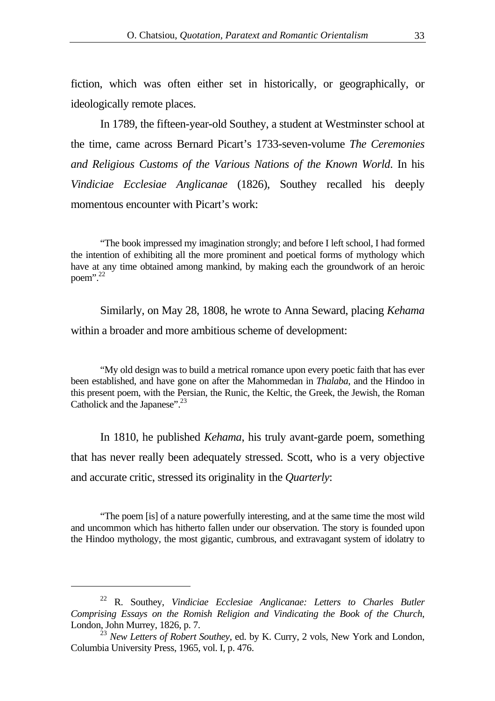fiction, which was often either set in historically, or geographically, or ideologically remote places.

In 1789, the fifteen-year-old Southey, a student at Westminster school at the time, came across Bernard Picart's 1733-seven-volume *The Ceremonies and Religious Customs of the Various Nations of the Known World*. In his *Vindiciae Ecclesiae Anglicanae* (1826), Southey recalled his deeply momentous encounter with Picart's work:

"The book impressed my imagination strongly; and before I left school, I had formed the intention of exhibiting all the more prominent and poetical forms of mythology which have at any time obtained among mankind, by making each the groundwork of an heroic poem". $^{22}$ 

Similarly, on May 28, 1808, he wrote to Anna Seward, placing *Kehama* within a broader and more ambitious scheme of development:

"My old design was to build a metrical romance upon every poetic faith that has ever been established, and have gone on after the Mahommedan in *Thalaba*, and the Hindoo in this present poem, with the Persian, the Runic, the Keltic, the Greek, the Jewish, the Roman Catholick and the Japanese".<sup>23</sup>

In 1810, he published *Kehama*, his truly avant-garde poem, something that has never really been adequately stressed. Scott, who is a very objective and accurate critic, stressed its originality in the *Quarterly*:

"The poem [is] of a nature powerfully interesting, and at the same time the most wild and uncommon which has hitherto fallen under our observation. The story is founded upon the Hindoo mythology, the most gigantic, cumbrous, and extravagant system of idolatry to

<span id="page-10-0"></span><sup>22</sup> R. Southey, *Vindiciae Ecclesiae Anglicanae: Letters to Charles Butler Comprising Essays on the Romish Religion and Vindicating the Book of the Church*, London, John Murrey, 1826, p. 7.

<span id="page-10-1"></span><sup>&</sup>lt;sup>23</sup> *New Letters of Robert Southey*, ed. by K. Curry, 2 vols, New York and London, Columbia University Press, 1965, vol. I, p. 476.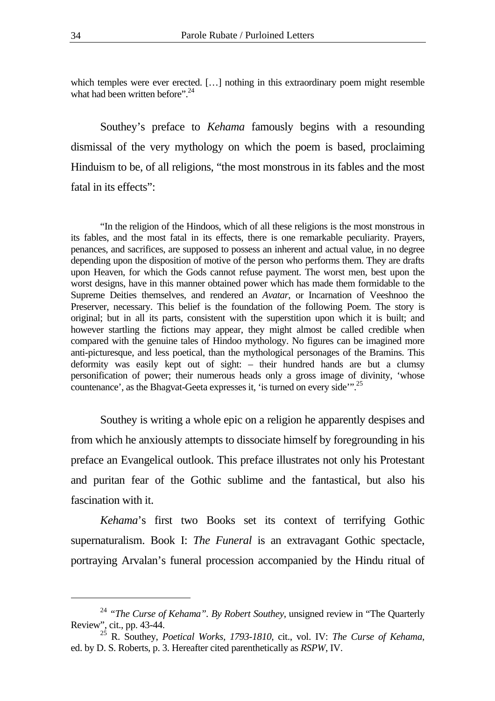which temples were ever erected. [...] nothing in this extraordinary poem might resemble what had been written before".<sup>24</sup>

Southey's preface to *Kehama* famously begins with a resounding dismissal of the very mythology on which the poem is based, proclaiming Hinduism to be, of all religions, "the most monstrous in its fables and the most fatal in its effects":

"In the religion of the Hindoos, which of all these religions is the most monstrous in its fables, and the most fatal in its effects, there is one remarkable peculiarity. Prayers, penances, and sacrifices, are supposed to possess an inherent and actual value, in no degree depending upon the disposition of motive of the person who performs them. They are drafts upon Heaven, for which the Gods cannot refuse payment. The worst men, best upon the worst designs, have in this manner obtained power which has made them formidable to the Supreme Deities themselves, and rendered an *Avatar*, or Incarnation of Veeshnoo the Preserver, necessary. This belief is the foundation of the following Poem. The story is original; but in all its parts, consistent with the superstition upon which it is built; and however startling the fictions may appear, they might almost be called credible when compared with the genuine tales of Hindoo mythology. No figures can be imagined more anti-picturesque, and less poetical, than the mythological personages of the Bramins. This deformity was easily kept out of sight: – their hundred hands are but a clumsy personification of power; their numerous heads only a gross image of divinity, 'whose countenance', as the Bhagvat-Geeta expresses it, 'is turned on every side'"[.25](#page-11-1)

Southey is writing a whole epic on a religion he apparently despises and from which he anxiously attempts to dissociate himself by foregrounding in his preface an Evangelical outlook. This preface illustrates not only his Protestant and puritan fear of the Gothic sublime and the fantastical, but also his fascination with it.

*Kehama*'s first two Books set its context of terrifying Gothic supernaturalism. Book I: *The Funeral* is an extravagant Gothic spectacle, portraying Arvalan's funeral procession accompanied by the Hindu ritual of

<span id="page-11-0"></span><sup>24</sup> *"The Curse of Kehama". By Robert Southey*, unsigned review in "The Quarterly Review", cit., pp. 43-44.

<span id="page-11-1"></span><sup>25</sup> R. Southey, *Poetical Works, 1793-1810*, cit., vol. IV: *The Curse of Kehama*, ed. by D. S. Roberts, p. 3. Hereafter cited parenthetically as *RSPW*, IV.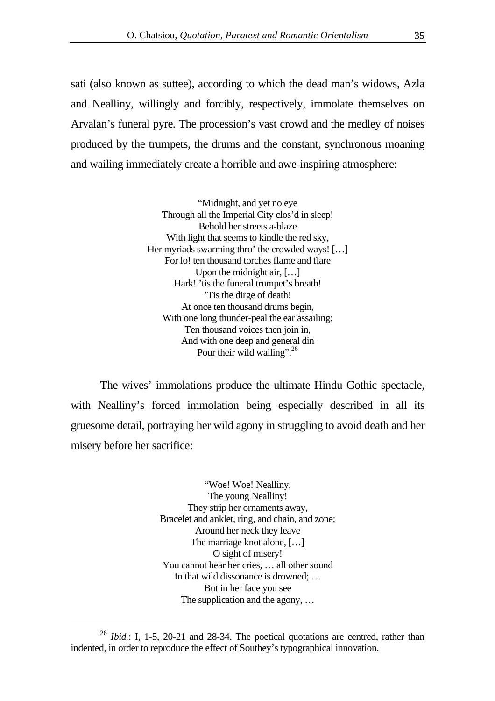sati (also known as suttee), according to which the dead man's widows, Azla and Nealliny, willingly and forcibly, respectively, immolate themselves on Arvalan's funeral pyre. The procession's vast crowd and the medley of noises produced by the trumpets, the drums and the constant, synchronous moaning and wailing immediately create a horrible and awe-inspiring atmosphere:

> "Midnight, and yet no eye Through all the Imperial City clos'd in sleep! Behold her streets a-blaze With light that seems to kindle the red sky, Her myriads swarming thro' the crowded ways! [...] For lo! ten thousand torches flame and flare Upon the midnight air, [...] Hark! 'tis the funeral trumpet's breath! 'Tis the dirge of death! At once ten thousand drums begin, With one long thunder-peal the ear assailing; Ten thousand voices then join in, And with one deep and general din Pour their wild wailing".<sup>26</sup>

The wives' immolations produce the ultimate Hindu Gothic spectacle, with Nealliny's forced immolation being especially described in all its gruesome detail, portraying her wild agony in struggling to avoid death and her misery before her sacrifice:

> "Woe! Woe! Nealliny, The young Nealliny! They strip her ornaments away, Bracelet and anklet, ring, and chain, and zone; Around her neck they leave The marriage knot alone, […] O sight of misery! You cannot hear her cries, … all other sound In that wild dissonance is drowned; … But in her face you see The supplication and the agony, ...

<span id="page-12-0"></span><sup>26</sup> *Ibid.*: I, 1-5, 20-21 and 28-34. The poetical quotations are centred, rather than indented, in order to reproduce the effect of Southey's typographical innovation.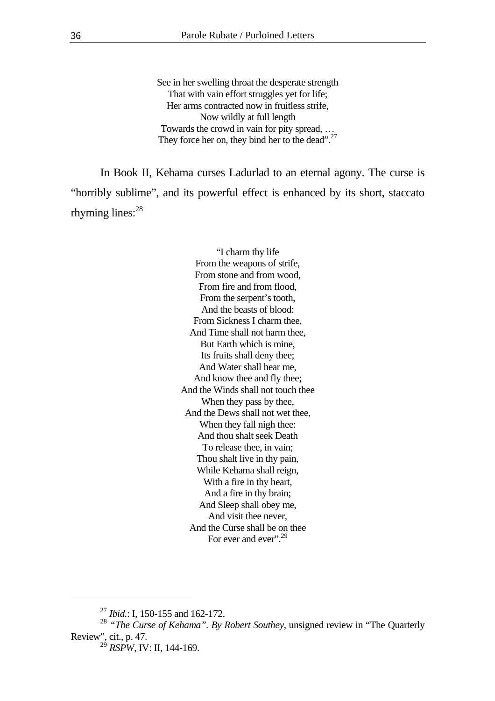See in her swelling throat the desperate strength That with vain effort struggles yet for life; Her arms contracted now in fruitless strife, Now wildly at full length Towards the crowd in vain for pity spread, … They force her on, they bind her to the dead".<sup>27</sup>

In Book II, Kehama curses Ladurlad to an eternal agony. The curse is "horribly sublime", and its powerful effect is enhanced by its short, staccato rhyming lines:<sup>28</sup>

> "I charm thy life From the weapons of strife, From stone and from wood, From fire and from flood, From the serpent's tooth, And the beasts of blood: From Sickness I charm thee, And Time shall not harm thee, But Earth which is mine, Its fruits shall deny thee; And Water shall hear me, And know thee and fly thee; And the Winds shall not touch thee When they pass by thee, And the Dews shall not wet thee, When they fall nigh thee: And thou shalt seek Death To release thee, in vain; Thou shalt live in thy pain, While Kehama shall reign, With a fire in thy heart, And a fire in thy brain; And Sleep shall obey me, And visit thee never, And the Curse shall be on thee For ever and ever".<sup>29</sup>

<span id="page-13-1"></span><span id="page-13-0"></span><sup>27</sup> *Ibid.*: I, 150-155 and 162-172.

<sup>&</sup>lt;sup>28</sup> "The Curse of Kehama". By Robert Southey, unsigned review in "The Quarterly" Review", cit., p. 47.

<span id="page-13-2"></span><sup>&</sup>lt;sup>29</sup> *RSPW*, IV: II, 144-169.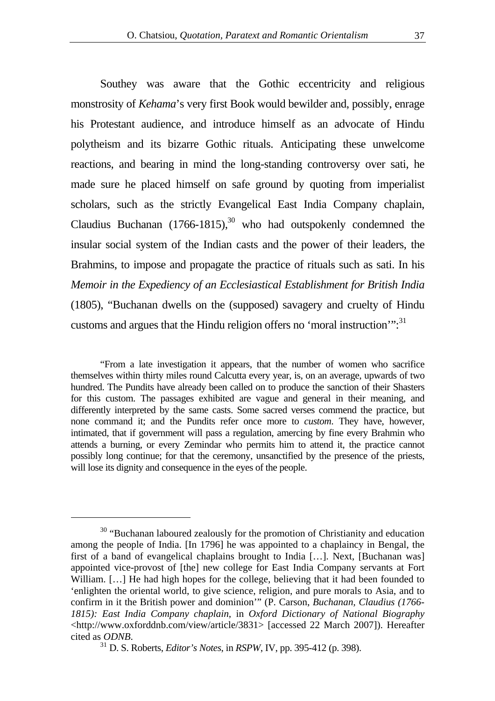Southey was aware that the Gothic eccentricity and religious monstrosity of *Kehama*'s very first Book would bewilder and, possibly, enrage his Protestant audience, and introduce himself as an advocate of Hindu polytheism and its bizarre Gothic rituals. Anticipating these unwelcome reactions, and bearing in mind the long-standing controversy over sati, he made sure he placed himself on safe ground by quoting from imperialist scholars, such as the strictly Evangelical East India Company chaplain, Claudius Buchanan  $(1766-1815)$ ,<sup>30</sup> who had outspokenly condemned the insular social system of the Indian casts and the power of their leaders, the Brahmins, to impose and propagate the practice of rituals such as sati. In his *Memoir in the Expediency of an Ecclesiastical Establishment for British India*  (1805), "Buchanan dwells on the (supposed) savagery and cruelty of Hindu customs and argues that the Hindu religion offers no 'moral instruction'": $^{31}$ 

"From a late investigation it appears, that the number of women who sacrifice themselves within thirty miles round Calcutta every year, is, on an average, upwards of two hundred. The Pundits have already been called on to produce the sanction of their Shasters for this custom. The passages exhibited are vague and general in their meaning, and differently interpreted by the same casts. Some sacred verses commend the practice, but none command it; and the Pundits refer once more to *custom*. They have, however, intimated, that if government will pass a regulation, amercing by fine every Brahmin who attends a burning, or every Zemindar who permits him to attend it, the practice cannot possibly long continue; for that the ceremony, unsanctified by the presence of the priests, will lose its dignity and consequence in the eyes of the people.

<span id="page-14-0"></span><sup>&</sup>lt;sup>30</sup> "Buchanan laboured zealously for the promotion of Christianity and education among the people of India. [In 1796] he was appointed to a chaplaincy in Bengal, the first of a band of evangelical chaplains brought to India […]. Next, [Buchanan was] appointed vice-provost of [the] new college for East India Company servants at Fort William. [...] He had high hopes for the college, believing that it had been founded to 'enlighten the oriental world, to give science, religion, and pure morals to Asia, and to confirm in it the British power and dominion'" (P. Carson, *Buchanan, Claudius (1766- 1815): East India Company chaplain*, in *Oxford Dictionary of National Biography*  <http://www.oxforddnb.com/view/article/3831> [accessed 22 March 2007]). Hereafter cited as *ODNB*. 31 D. S. Roberts, *Editor's Notes*, in *RSPW*, IV, pp. 395-412 (p. 398).

<span id="page-14-1"></span>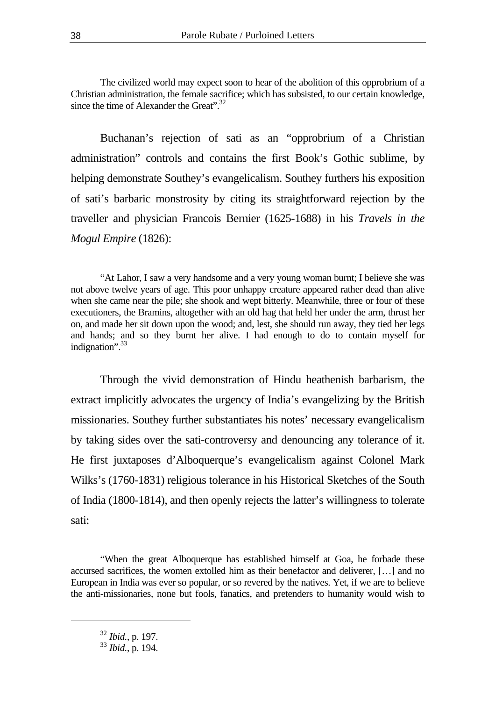The civilized world may expect soon to hear of the abolition of this opprobrium of a Christian administration, the female sacrifice; which has subsisted, to our certain knowledge, since the time of Alexander the Great". $32$ 

Buchanan's rejection of sati as an "opprobrium of a Christian administration" controls and contains the first Book's Gothic sublime, by helping demonstrate Southey's evangelicalism. Southey furthers his exposition of sati's barbaric monstrosity by citing its straightforward rejection by the traveller and physician Francois Bernier (1625-1688) in his *Travels in the Mogul Empire* (1826):

"At Lahor, I saw a very handsome and a very young woman burnt; I believe she was not above twelve years of age. This poor unhappy creature appeared rather dead than alive when she came near the pile; she shook and wept bitterly. Meanwhile, three or four of these executioners, the Bramins, altogether with an old hag that held her under the arm, thrust her on, and made her sit down upon the wood; and, lest, she should run away, they tied her legs and hands; and so they burnt her alive. I had enough to do to contain myself for indignation".<sup>33</sup>

Through the vivid demonstration of Hindu heathenish barbarism, the extract implicitly advocates the urgency of India's evangelizing by the British missionaries. Southey further substantiates his notes' necessary evangelicalism by taking sides over the sati-controversy and denouncing any tolerance of it. He first juxtaposes d'Alboquerque's evangelicalism against Colonel Mark Wilks's (1760-1831) religious tolerance in his Historical Sketches of the South of India (1800-1814), and then openly rejects the latter's willingness to tolerate sati:

"When the great Alboquerque has established himself at Goa, he forbade these accursed sacrifices, the women extolled him as their benefactor and deliverer, […] and no European in India was ever so popular, or so revered by the natives. Yet, if we are to believe the anti-missionaries, none but fools, fanatics, and pretenders to humanity would wish to

<span id="page-15-0"></span><sup>32</sup> *Ibid.*, p. 197.

<span id="page-15-1"></span><sup>33</sup> *Ibid.*, p. 194.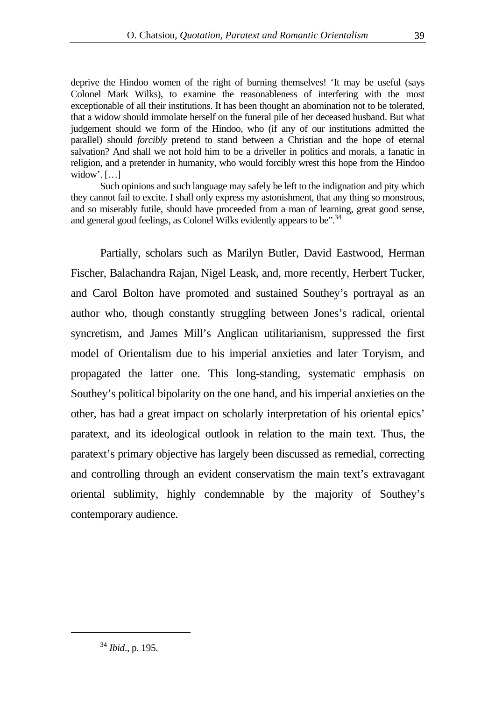deprive the Hindoo women of the right of burning themselves! 'It may be useful (says Colonel Mark Wilks), to examine the reasonableness of interfering with the most exceptionable of all their institutions. It has been thought an abomination not to be tolerated, that a widow should immolate herself on the funeral pile of her deceased husband. But what judgement should we form of the Hindoo, who (if any of our institutions admitted the parallel) should *forcibly* pretend to stand between a Christian and the hope of eternal salvation? And shall we not hold him to be a driveller in politics and morals, a fanatic in religion, and a pretender in humanity, who would forcibly wrest this hope from the Hindoo widow'.  $[\ldots]$ 

Such opinions and such language may safely be left to the indignation and pity which they cannot fail to excite. I shall only express my astonishment, that any thing so monstrous, and so miserably futile, should have proceeded from a man of learning, great good sense, and general good feelings, as Colonel Wilks evidently appears to be".<sup>34</sup>

Partially, scholars such as Marilyn Butler, David Eastwood, Herman Fischer, Balachandra Rajan, Nigel Leask, and, more recently, Herbert Tucker, and Carol Bolton have promoted and sustained Southey's portrayal as an author who, though constantly struggling between Jones's radical, oriental syncretism, and James Mill's Anglican utilitarianism, suppressed the first model of Orientalism due to his imperial anxieties and later Toryism, and propagated the latter one. This long-standing, systematic emphasis on Southey's political bipolarity on the one hand, and his imperial anxieties on the other, has had a great impact on scholarly interpretation of his oriental epics' paratext, and its ideological outlook in relation to the main text. Thus, the paratext's primary objective has largely been discussed as remedial, correcting and controlling through an evident conservatism the main text's extravagant oriental sublimity, highly condemnable by the majority of Southey's contemporary audience.

<span id="page-16-0"></span><sup>34</sup> *Ibid*., p. 195.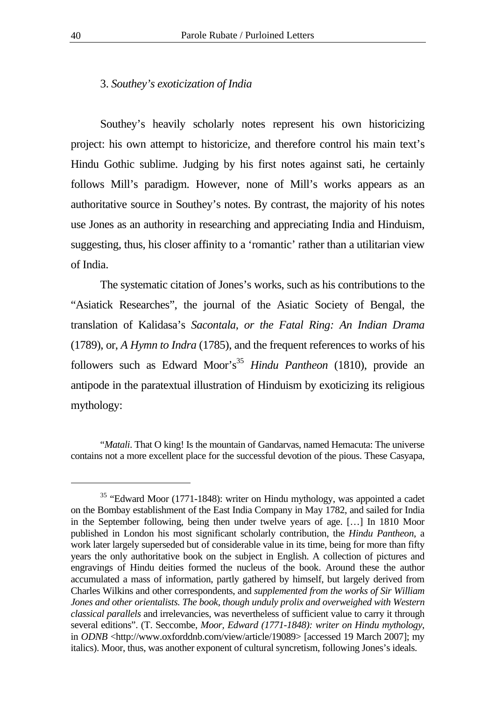#### 3. *Southey's exoticization of India*

Southey's heavily scholarly notes represent his own historicizing project: his own attempt to historicize, and therefore control his main text's Hindu Gothic sublime. Judging by his first notes against sati, he certainly follows Mill's paradigm. However, none of Mill's works appears as an authoritative source in Southey's notes. By contrast, the majority of his notes use Jones as an authority in researching and appreciating India and Hinduism, suggesting, thus, his closer affinity to a 'romantic' rather than a utilitarian view of India.

The systematic citation of Jones's works, such as his contributions to the "Asiatick Researches", the journal of the Asiatic Society of Bengal, the translation of Kalidasa's *Sacontala, or the Fatal Ring: An Indian Drama* (1789), or, *A Hymn to Indra* (1785), and the frequent references to works of his followers such as Edward Moor's<sup>35</sup> *Hindu Pantheon* (1810), provide an antipode in the paratextual illustration of Hinduism by exoticizing its religious mythology:

<sup>&</sup>quot;*Matali*. That O king! Is the mountain of Gandarvas, named Hemacuta: The universe contains not a more excellent place for the successful devotion of the pious. These Casyapa,

<span id="page-17-0"></span><sup>&</sup>lt;sup>35</sup> "Edward Moor (1771-1848): writer on Hindu mythology, was appointed a cadet on the Bombay establishment of the East India Company in May 1782, and sailed for India in the September following, being then under twelve years of age. […] In 1810 Moor published in London his most significant scholarly contribution, the *Hindu Pantheon*, a work later largely superseded but of considerable value in its time, being for more than fifty years the only authoritative book on the subject in English. A collection of pictures and engravings of Hindu deities formed the nucleus of the book. Around these the author accumulated a mass of information, partly gathered by himself, but largely derived from Charles Wilkins and other correspondents, and *supplemented from the works of Sir William Jones and other orientalists. The book, though unduly prolix and overweighed with Western classical parallels* and irrelevancies, was nevertheless of sufficient value to carry it through several editions". (T. Seccombe, *Moor, Edward (1771-1848): writer on Hindu mythology*, in *ODNB* <http://www.oxforddnb.com/view/article/19089> [accessed 19 March 2007]; my italics). Moor, thus, was another exponent of cultural syncretism, following Jones's ideals.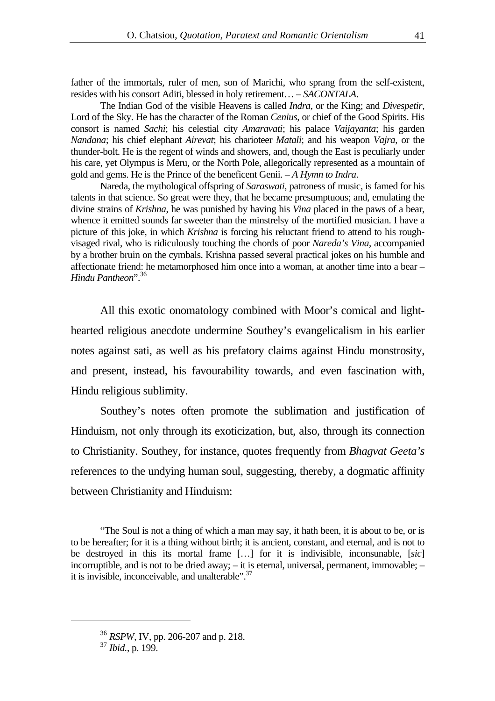father of the immortals, ruler of men, son of Marichi, who sprang from the self-existent, resides with his consort Aditi, blessed in holy retirement… – *SACONTALA*.

The Indian God of the visible Heavens is called *Indra*, or the King; and *Divespetir*, Lord of the Sky. He has the character of the Roman *Cenius*, or chief of the Good Spirits. His consort is named *Sachi*; his celestial city *Amaravati*; his palace *Vaijayanta*; his garden *Nandana*; his chief elephant *Airevat*; his charioteer *Matali*; and his weapon *Vajra*, or the thunder-bolt. He is the regent of winds and showers, and, though the East is peculiarly under his care, yet Olympus is Meru, or the North Pole, allegorically represented as a mountain of gold and gems. He is the Prince of the beneficent Genii. – *A Hymn to Indra*.

Nareda, the mythological offspring of *Saraswati*, patroness of music, is famed for his talents in that science. So great were they, that he became presumptuous; and, emulating the divine strains of *Krishna*, he was punished by having his *Vina* placed in the paws of a bear, whence it emitted sounds far sweeter than the minstrelsy of the mortified musician. I have a picture of this joke, in which *Krishna* is forcing his reluctant friend to attend to his roughvisaged rival, who is ridiculously touching the chords of poor *Nareda's Vina*, accompanied by a brother bruin on the cymbals. Krishna passed several practical jokes on his humble and affectionate friend: he metamorphosed him once into a woman, at another time into a bear – *Hindu Pantheon*"[.36](#page-18-0)

All this exotic onomatology combined with Moor's comical and lighthearted religious anecdote undermine Southey's evangelicalism in his earlier notes against sati, as well as his prefatory claims against Hindu monstrosity, and present, instead, his favourability towards, and even fascination with, Hindu religious sublimity.

Southey's notes often promote the sublimation and justification of Hinduism, not only through its exoticization, but, also, through its connection to Christianity. Southey, for instance, quotes frequently from *Bhagvat Geeta's* references to the undying human soul, suggesting, thereby, a dogmatic affinity between Christianity and Hinduism:

"The Soul is not a thing of which a man may say, it hath been, it is about to be, or is to be hereafter; for it is a thing without birth; it is ancient, constant, and eternal, and is not to be destroyed in this its mortal frame […] for it is indivisible, inconsunable, [*sic*] incorruptible, and is not to be dried away; – it is eternal, universal, permanent, immovable; – it is invisible, inconceivable, and unalterable".<sup>37</sup>

<span id="page-18-0"></span><sup>36</sup> *RSPW*, IV, pp. 206-207 and p. 218.

<span id="page-18-1"></span><sup>37</sup> *Ibid.*, p. 199.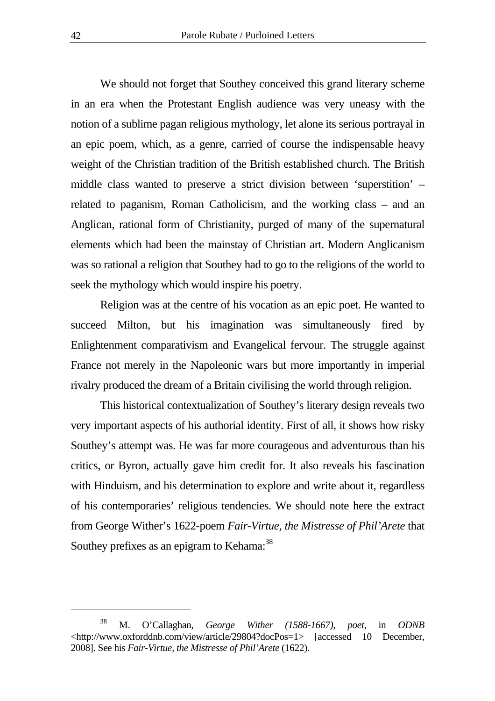We should not forget that Southey conceived this grand literary scheme in an era when the Protestant English audience was very uneasy with the notion of a sublime pagan religious mythology, let alone its serious portrayal in an epic poem, which, as a genre, carried of course the indispensable heavy weight of the Christian tradition of the British established church. The British middle class wanted to preserve a strict division between 'superstition' – related to paganism, Roman Catholicism, and the working class – and an Anglican, rational form of Christianity, purged of many of the supernatural elements which had been the mainstay of Christian art. Modern Anglicanism was so rational a religion that Southey had to go to the religions of the world to seek the mythology which would inspire his poetry.

Religion was at the centre of his vocation as an epic poet. He wanted to succeed Milton, but his imagination was simultaneously fired by Enlightenment comparativism and Evangelical fervour. The struggle against France not merely in the Napoleonic wars but more importantly in imperial rivalry produced the dream of a Britain civilising the world through religion.

This historical contextualization of Southey's literary design reveals two very important aspects of his authorial identity. First of all, it shows how risky Southey's attempt was. He was far more courageous and adventurous than his critics, or Byron, actually gave him credit for. It also reveals his fascination with Hinduism, and his determination to explore and write about it, regardless of his contemporaries' religious tendencies. We should note here the extract from George Wither's 1622-poem *Fair-Virtue, the Mistresse of Phil'Arete* that Southey prefixes as an epigram to Kehama:<sup>38</sup>

<span id="page-19-0"></span><sup>38</sup> M. O'Callaghan, *George Wither (1588-1667), poet*, in *ODNB*  <http://www.oxforddnb.com/view/article/29804?docPos=1> [accessed 10 December, 2008]. See his *Fair-Virtue, the Mistresse of Phil'Arete* (1622).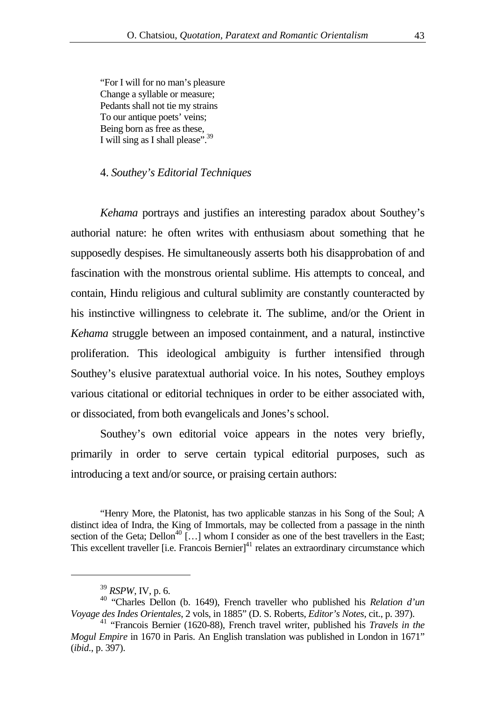"For I will for no man's pleasure Change a syllable or measure; Pedants shall not tie my strains To our antique poets' veins; Being born as free as these, I will sing as I shall please".<sup>39</sup>

#### 4. *Southey's Editorial Techniques*

*Kehama* portrays and justifies an interesting paradox about Southey's authorial nature: he often writes with enthusiasm about something that he supposedly despises. He simultaneously asserts both his disapprobation of and fascination with the monstrous oriental sublime. His attempts to conceal, and contain, Hindu religious and cultural sublimity are constantly counteracted by his instinctive willingness to celebrate it. The sublime, and/or the Orient in *Kehama* struggle between an imposed containment, and a natural, instinctive proliferation. This ideological ambiguity is further intensified through Southey's elusive paratextual authorial voice. In his notes, Southey employs various citational or editorial techniques in order to be either associated with, or dissociated, from both evangelicals and Jones's school.

Southey's own editorial voice appears in the notes very briefly, primarily in order to serve certain typical editorial purposes, such as introducing a text and/or source, or praising certain authors:

<sup>&</sup>quot;Henry More, the Platonist, has two applicable stanzas in his Song of the Soul; A distinct idea of Indra, the King of Immortals, may be collected from a passage in the ninth section of the Geta; Dellon<sup>40</sup> [...] whom I consider as one of the best travellers in the East; This excellent traveller [i.e. Francois Bernier] $41$  relates an extraordinary circumstance which

<span id="page-20-2"></span><span id="page-20-1"></span><span id="page-20-0"></span><sup>39</sup> *RSPW*, IV, p. 6.

<sup>40 &</sup>quot;Charles Dellon (b. 1649), French traveller who published his *Relation d'un Voyage des Indes Orientales*, 2 vols, in 1885" (D. S. Roberts, *Editor's Notes*, cit., p. 397).

<sup>41 &</sup>quot;Francois Bernier (1620-88), French travel writer, published his *Travels in the Mogul Empire* in 1670 in Paris. An English translation was published in London in 1671" (*ibid.*, p. 397).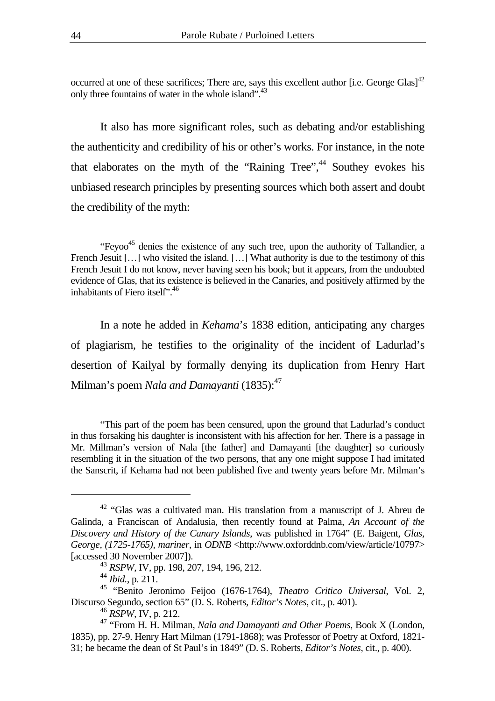occurred at one of these sacrifices; There are, says this excellent author [i.e. George Glas]<sup>42</sup> only three fountains of water in the whole island".<sup>43</sup>

It also has more significant roles, such as debating and/or establishing the authenticity and credibility of his or other's works. For instance, in the note that elaborates on the myth of the "Raining Tree",<sup>44</sup> Southey evokes his unbiased research principles by presenting sources which both assert and doubt the credibility of the myth:

"Feyoo<sup>45</sup> denies the existence of any such tree, upon the authority of Tallandier, a French Jesuit [...] who visited the island. [...] What authority is due to the testimony of this French Jesuit I do not know, never having seen his book; but it appears, from the undoubted evidence of Glas, that its existence is believed in the Canaries, and positively affirmed by the inhabitants of Fiero itself<sup>", 46</sup>

In a note he added in *Kehama*'s 1838 edition, anticipating any charges of plagiarism, he testifies to the originality of the incident of Ladurlad's desertion of Kailyal by formally denying its duplication from Henry Hart Milman's poem *Nala and Damayanti* (1835):<sup>[47](#page-21-5)</sup>

"This part of the poem has been censured, upon the ground that Ladurlad's conduct in thus forsaking his daughter is inconsistent with his affection for her. There is a passage in Mr. Millman's version of Nala [the father] and Damayanti [the daughter] so curiously resembling it in the situation of the two persons, that any one might suppose I had imitated the Sanscrit, if Kehama had not been published five and twenty years before Mr. Milman's

<span id="page-21-0"></span><sup>42 &</sup>quot;Glas was a cultivated man. His translation from a manuscript of J. Abreu de Galinda, a Franciscan of Andalusia, then recently found at Palma, *An Account of the Discovery and History of the Canary Islands*, was published in 1764" (E. Baigent, *Glas, George, (1725-1765), mariner*, in *ODNB* <http://www.oxforddnb.com/view/article/10797> [accessed 30 November 2007]).

<span id="page-21-1"></span><sup>43</sup> *RSPW*, IV, pp. 198, 207, 194, 196, 212.

<span id="page-21-3"></span><span id="page-21-2"></span><sup>44</sup> *Ibid.*, p. 211.

<sup>45 &</sup>quot;Benito Jeronimo Feijoo (1676-1764), *Theatro Critico Universal*, Vol. 2, Discurso Segundo, section 65" (D. S. Roberts, *Editor's Notes*, cit., p. 401).

<span id="page-21-5"></span><span id="page-21-4"></span><sup>46</sup> *RSPW*, IV, p. 212.

<sup>47 &</sup>quot;From H. H. Milman, *Nala and Damayanti and Other Poems*, Book X (London, 1835), pp. 27-9. Henry Hart Milman (1791-1868); was Professor of Poetry at Oxford, 1821- 31; he became the dean of St Paul's in 1849" (D. S. Roberts, *Editor's Notes*, cit., p. 400).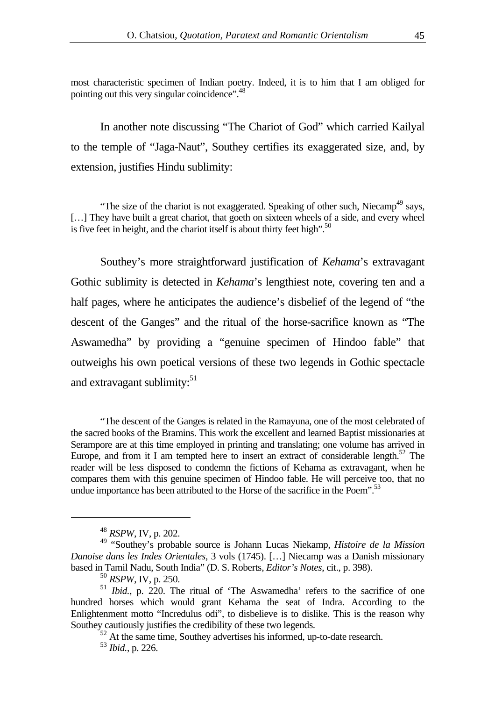most characteristic specimen of Indian poetry. Indeed, it is to him that I am obliged for pointing out this very singular coincidence".<sup>48</sup>

In another note discussing "The Chariot of God" which carried Kailyal to the temple of "Jaga-Naut", Southey certifies its exaggerated size, and, by extension, justifies Hindu sublimity:

"The size of the chariot is not exaggerated. Speaking of other such, Niecamp<sup>49</sup> says, [...] They have built a great chariot, that goeth on sixteen wheels of a side, and every wheel is five feet in height, and the chariot itself is about thirty feet high".<sup>50</sup>

Southey's more straightforward justification of *Kehama*'s extravagant Gothic sublimity is detected in *Kehama*'s lengthiest note, covering ten and a half pages, where he anticipates the audience's disbelief of the legend of "the descent of the Ganges" and the ritual of the horse-sacrifice known as "The Aswamedha" by providing a "genuine specimen of Hindoo fable" that outweighs his own poetical versions of these two legends in Gothic spectacle and extravagant sublimity: $51$ 

"The descent of the Ganges is related in the Ramayuna, one of the most celebrated of the sacred books of the Bramins. This work the excellent and learned Baptist missionaries at Serampore are at this time employed in printing and translating; one volume has arrived in Europe, and from it I am tempted here to insert an extract of considerable length.<sup>52</sup> The reader will be less disposed to condemn the fictions of Kehama as extravagant, when he compares them with this genuine specimen of Hindoo fable. He will perceive too, that no undue importance has been attributed to the Horse of the sacrifice in the Poem".<sup>[53](#page-22-5)</sup>

<span id="page-22-1"></span><span id="page-22-0"></span><sup>48</sup> *RSPW*, IV, p. 202.

<sup>49 &</sup>quot;Southey's probable source is Johann Lucas Niekamp, *Histoire de la Mission Danoise dans les Indes Orientales*, 3 vols (1745). […] Niecamp was a Danish missionary based in Tamil Nadu, South India" (D. S. Roberts, *Editor's Notes*, cit., p. 398).

<span id="page-22-3"></span><span id="page-22-2"></span><sup>50</sup> *RSPW*, IV, p. 250.

<sup>&</sup>lt;sup>51</sup> *Ibid.*, p. 220. The ritual of 'The Aswamedha' refers to the sacrifice of one hundred horses which would grant Kehama the seat of Indra. According to the Enlightenment motto "Incredulus odi", to disbelieve is to dislike. This is the reason why Southey cautiously justifies the credibility of these two legends.

<span id="page-22-4"></span> $52$  At the same time, Southey advertises his informed, up-to-date research.

<span id="page-22-5"></span><sup>53</sup> *Ibid.*, p. 226.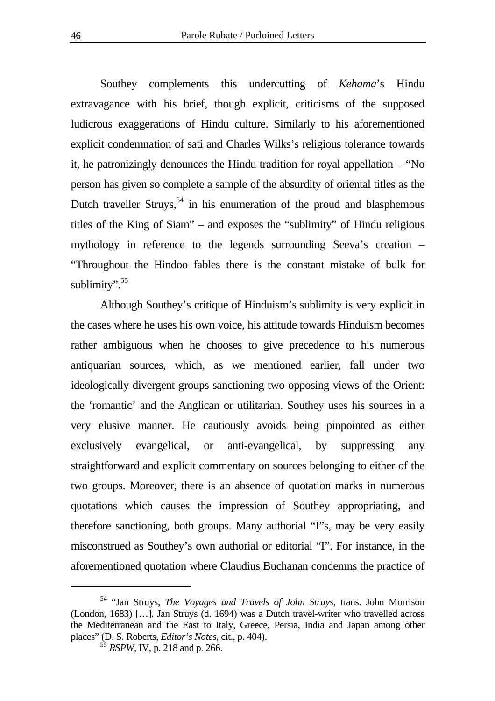Southey complements this undercutting of *Kehama*'s Hindu extravagance with his brief, though explicit, criticisms of the supposed ludicrous exaggerations of Hindu culture. Similarly to his aforementioned explicit condemnation of sati and Charles Wilks's religious tolerance towards it, he patronizingly denounces the Hindu tradition for royal appellation – "No person has given so complete a sample of the absurdity of oriental titles as the Dutch traveller Struys,<sup>54</sup> in his enumeration of the proud and blasphemous titles of the King of Siam" – and exposes the "sublimity" of Hindu religious mythology in reference to the legends surrounding Seeva's creation – "Throughout the Hindoo fables there is the constant mistake of bulk for sublimity".<sup>55</sup>

Although Southey's critique of Hinduism's sublimity is very explicit in the cases where he uses his own voice, his attitude towards Hinduism becomes rather ambiguous when he chooses to give precedence to his numerous antiquarian sources, which, as we mentioned earlier, fall under two ideologically divergent groups sanctioning two opposing views of the Orient: the 'romantic' and the Anglican or utilitarian. Southey uses his sources in a very elusive manner. He cautiously avoids being pinpointed as either exclusively evangelical, or anti-evangelical, by suppressing any straightforward and explicit commentary on sources belonging to either of the two groups. Moreover, there is an absence of quotation marks in numerous quotations which causes the impression of Southey appropriating, and therefore sanctioning, both groups. Many authorial "I"s, may be very easily misconstrued as Southey's own authorial or editorial "I". For instance, in the aforementioned quotation where Claudius Buchanan condemns the practice of

<span id="page-23-0"></span><sup>54 &</sup>quot;Jan Struys, *The Voyages and Travels of John Struys*, trans. John Morrison (London, 1683) […]. Jan Struys (d. 1694) was a Dutch travel-writer who travelled across the Mediterranean and the East to Italy, Greece, Persia, India and Japan among other places" (D. S. Roberts, *Editor's Notes*, cit., p. 404).

<span id="page-23-1"></span><sup>55</sup> *RSPW*, IV, p. 218 and p. 266.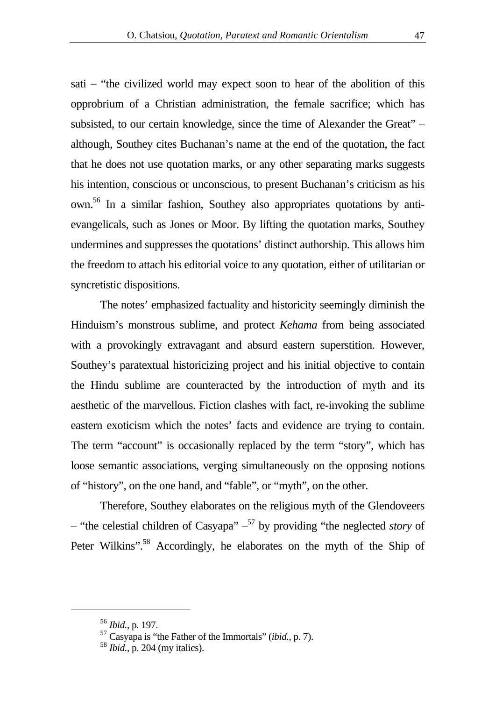sati – "the civilized world may expect soon to hear of the abolition of this opprobrium of a Christian administration, the female sacrifice; which has subsisted, to our certain knowledge, since the time of Alexander the Great" – although, Southey cites Buchanan's name at the end of the quotation, the fact that he does not use quotation marks, or any other separating marks suggests his intention, conscious or unconscious, to present Buchanan's criticism as his own.[56](#page-24-0) In a similar fashion, Southey also appropriates quotations by antievangelicals, such as Jones or Moor. By lifting the quotation marks, Southey undermines and suppresses the quotations' distinct authorship. This allows him the freedom to attach his editorial voice to any quotation, either of utilitarian or syncretistic dispositions.

The notes' emphasized factuality and historicity seemingly diminish the Hinduism's monstrous sublime, and protect *Kehama* from being associated with a provokingly extravagant and absurd eastern superstition. However, Southey's paratextual historicizing project and his initial objective to contain the Hindu sublime are counteracted by the introduction of myth and its aesthetic of the marvellous. Fiction clashes with fact, re-invoking the sublime eastern exoticism which the notes' facts and evidence are trying to contain. The term "account" is occasionally replaced by the term "story", which has loose semantic associations, verging simultaneously on the opposing notions of "history", on the one hand, and "fable", or "myth", on the other.

Therefore, Southey elaborates on the religious myth of the Glendoveers – "the celestial children of Casyapa"  $-$ <sup>57</sup> by providing "the neglected *story* of Peter Wilkins".<sup>58</sup> Accordingly, he elaborates on the myth of the Ship of

<span id="page-24-0"></span><sup>56</sup> *Ibid.*, p. 197.

<span id="page-24-1"></span><sup>57</sup> Casyapa is "the Father of the Immortals" (*ibid.*, p. 7).

<span id="page-24-2"></span><sup>58</sup> *Ibid.*, p. 204 (my italics).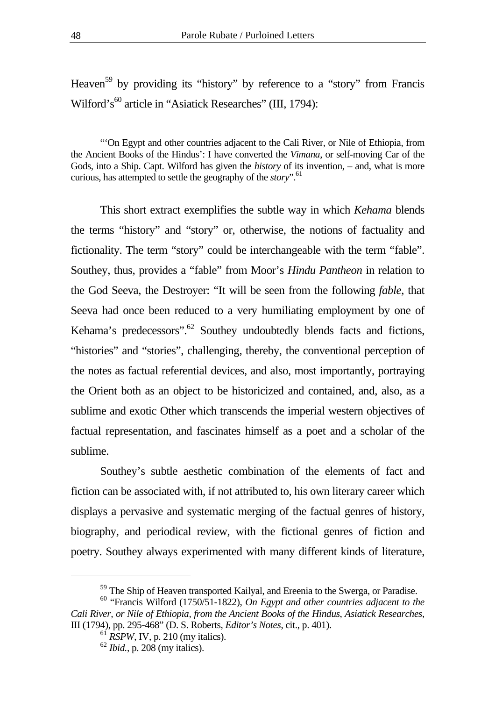Heaven<sup>59</sup> by providing its "history" by reference to a "story" from Francis Wilford's<sup>60</sup> article in "Asiatick Researches" (III, 1794):

"'On Egypt and other countries adjacent to the Cali River, or Nile of Ethiopia, from the Ancient Books of the Hindus': I have converted the *Vimana*, or self-moving Car of the Gods, into a Ship. Capt. Wilford has given the *history* of its invention, – and, what is more curious, has attempted to settle the geography of the *story*".<sup>61</sup>

This short extract exemplifies the subtle way in which *Kehama* blends the terms "history" and "story" or, otherwise, the notions of factuality and fictionality. The term "story" could be interchangeable with the term "fable". Southey, thus, provides a "fable" from Moor's *Hindu Pantheon* in relation to the God Seeva, the Destroyer: "It will be seen from the following *fable*, that Seeva had once been reduced to a very humiliating employment by one of Kehama's predecessors".<sup>62</sup> Southey undoubtedly blends facts and fictions, "histories" and "stories", challenging, thereby, the conventional perception of the notes as factual referential devices, and also, most importantly, portraying the Orient both as an object to be historicized and contained, and, also, as a sublime and exotic Other which transcends the imperial western objectives of factual representation, and fascinates himself as a poet and a scholar of the sublime.

Southey's subtle aesthetic combination of the elements of fact and fiction can be associated with, if not attributed to, his own literary career which displays a pervasive and systematic merging of the factual genres of history, biography, and periodical review, with the fictional genres of fiction and poetry. Southey always experimented with many different kinds of literature,

<span id="page-25-1"></span><span id="page-25-0"></span><sup>&</sup>lt;sup>59</sup> The Ship of Heaven transported Kailyal, and Ereenia to the Swerga, or Paradise.

<sup>60 &</sup>quot;Francis Wilford (1750/51-1822), *On Egypt and other countries adjacent to the Cali River, or Nile of Ethiopia, from the Ancient Books of the Hindus*, *Asiatick Researches*, III (1794), pp. 295-468" (D. S. Roberts, *Editor's Notes*, cit., p. 401).

<span id="page-25-2"></span> $61$  *RSPW*, IV, p. 210 (my italics).

<span id="page-25-3"></span><sup>62</sup> *Ibid.*, p. 208 (my italics).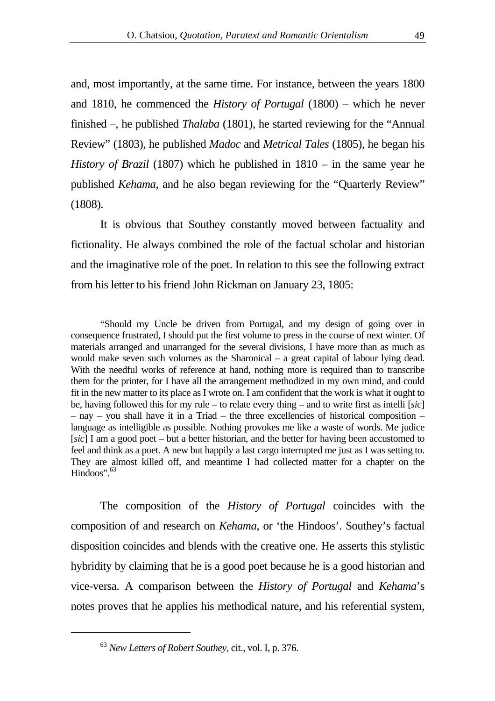and, most importantly, at the same time. For instance, between the years 1800 and 1810, he commenced the *History of Portugal* (1800) – which he never finished –, he published *Thalaba* (1801), he started reviewing for the "Annual Review" (1803), he published *Madoc* and *Metrical Tales* (1805), he began his *History of Brazil* (1807) which he published in 1810 – in the same year he published *Kehama*, and he also began reviewing for the "Quarterly Review" (1808).

It is obvious that Southey constantly moved between factuality and fictionality. He always combined the role of the factual scholar and historian and the imaginative role of the poet. In relation to this see the following extract from his letter to his friend John Rickman on January 23, 1805:

"Should my Uncle be driven from Portugal, and my design of going over in consequence frustrated, I should put the first volume to press in the course of next winter. Of materials arranged and unarranged for the several divisions, I have more than as much as would make seven such volumes as the Sharonical – a great capital of labour lying dead. With the needful works of reference at hand, nothing more is required than to transcribe them for the printer, for I have all the arrangement methodized in my own mind, and could fit in the new matter to its place as I wrote on. I am confident that the work is what it ought to be, having followed this for my rule – to relate every thing – and to write first as intelli [*sic*] – nay – you shall have it in a Triad – the three excellencies of historical composition – language as intelligible as possible. Nothing provokes me like a waste of words. Me judice [*sic*] I am a good poet – but a better historian, and the better for having been accustomed to feel and think as a poet. A new but happily a last cargo interrupted me just as I was setting to. They are almost killed off, and meantime I had collected matter for a chapter on the  $Hindoos$ ".  $63$ 

The composition of the *History of Portugal* coincides with the composition of and research on *Kehama*, or 'the Hindoos'. Southey's factual disposition coincides and blends with the creative one. He asserts this stylistic hybridity by claiming that he is a good poet because he is a good historian and vice-versa. A comparison between the *History of Portugal* and *Kehama*'s notes proves that he applies his methodical nature, and his referential system,

<span id="page-26-0"></span><sup>63</sup> *New Letters of Robert Southey*, cit., vol. I, p. 376.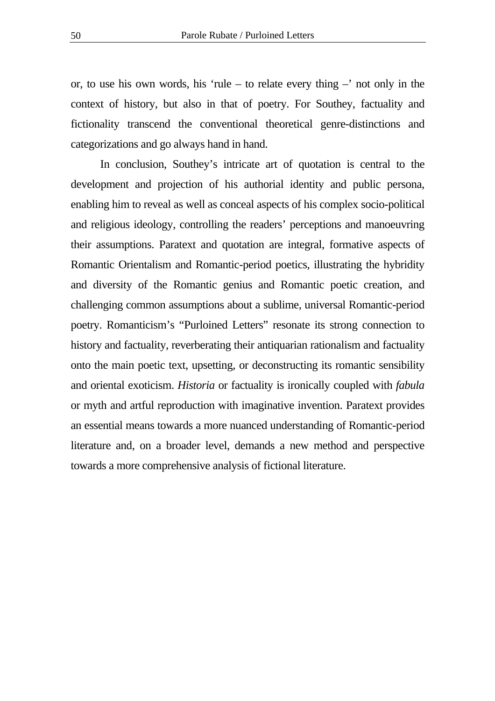or, to use his own words, his 'rule – to relate every thing  $-$ ' not only in the context of history, but also in that of poetry. For Southey, factuality and fictionality transcend the conventional theoretical genre-distinctions and categorizations and go always hand in hand.

In conclusion, Southey's intricate art of quotation is central to the development and projection of his authorial identity and public persona, enabling him to reveal as well as conceal aspects of his complex socio-political and religious ideology, controlling the readers' perceptions and manoeuvring their assumptions. Paratext and quotation are integral, formative aspects of Romantic Orientalism and Romantic-period poetics, illustrating the hybridity and diversity of the Romantic genius and Romantic poetic creation, and challenging common assumptions about a sublime, universal Romantic-period poetry. Romanticism's "Purloined Letters" resonate its strong connection to history and factuality, reverberating their antiquarian rationalism and factuality onto the main poetic text, upsetting, or deconstructing its romantic sensibility and oriental exoticism. *Historia* or factuality is ironically coupled with *fabula* or myth and artful reproduction with imaginative invention. Paratext provides an essential means towards a more nuanced understanding of Romantic-period literature and, on a broader level, demands a new method and perspective towards a more comprehensive analysis of fictional literature.